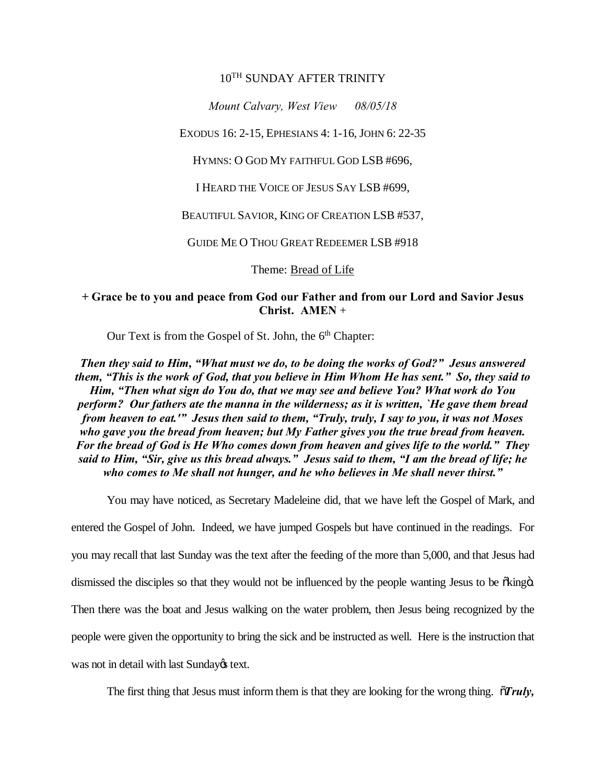## 10TH SUNDAY AFTER TRINITY

*Mount Calvary, West View 08/05/18*

EXODUS 16: 2-15, EPHESIANS 4: 1-16, JOHN 6: 22-35

HYMNS: O GOD MY FAITHFUL GOD LSB #696,

I HEARD THE VOICE OF JESUS SAY LSB #699,

BEAUTIFUL SAVIOR, KING OF CREATION LSB #537,

GUIDE ME O THOU GREAT REDEEMER LSB #918

Theme: Bread of Life

**+ Grace be to you and peace from God our Father and from our Lord and Savior Jesus Christ. AMEN** +

Our Text is from the Gospel of St. John, the  $6<sup>th</sup>$  Chapter:

*Then they said to Him, "What must we do, to be doing the works of God?" Jesus answered them, "This is the work of God, that you believe in Him Whom He has sent." So, they said to Him, "Then what sign do You do, that we may see and believe You? What work do You perform? Our fathers ate the manna in the wilderness; as it is written, `He gave them bread from heaven to eat.'" Jesus then said to them, "Truly, truly, I say to you, it was not Moses who gave you the bread from heaven; but My Father gives you the true bread from heaven. For the bread of God is He Who comes down from heaven and gives life to the world." They said to Him, "Sir, give us this bread always." Jesus said to them, "I am the bread of life; he who comes to Me shall not hunger, and he who believes in Me shall never thirst."*

You may have noticed, as Secretary Madeleine did, that we have left the Gospel of Mark, and

entered the Gospel of John. Indeed, we have jumped Gospels but have continued in the readings. For you may recall that last Sunday was the text after the feeding of the more than 5,000, and that Jesus had dismissed the disciples so that they would not be influenced by the people wanting Jesus to be  $\tilde{\alpha}$ king $\tilde{\alpha}$ . Then there was the boat and Jesus walking on the water problem, then Jesus being recognized by the people were given the opportunity to bring the sick and be instructed as well. Here is the instruction that was not in detail with last Sunday $\alpha$  text.

The first thing that Jesus must inform them is that they are looking for the wrong thing.  $\tilde{\sigma}$ *Truly,*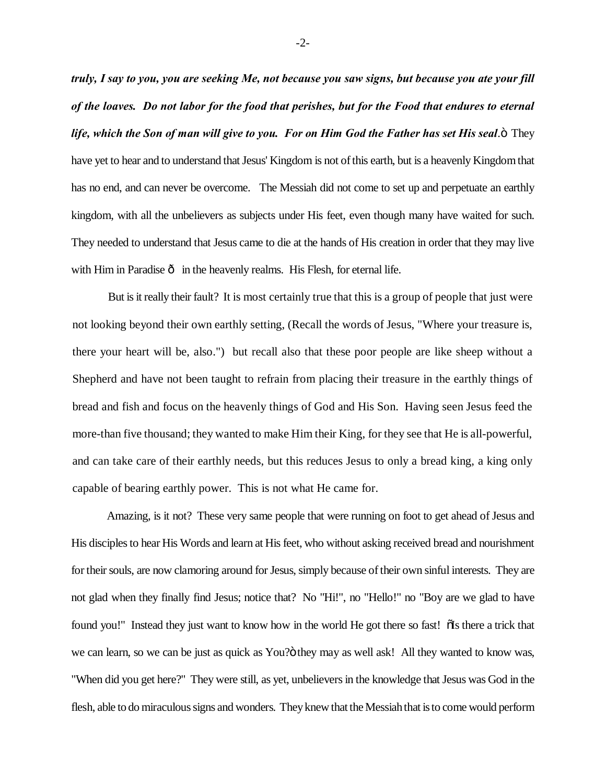*truly, I say to you, you are seeking Me, not because you saw signs, but because you ate your fill of the loaves. Do not labor for the food that perishes, but for the Food that endures to eternal life, which the Son of man will give to you. For on Him God the Father has set His seal*." They have yet to hear and to understand that Jesus' Kingdom is not of this earth, but is a heavenly Kingdom that has no end, and can never be overcome. The Messiah did not come to set up and perpetuate an earthly kingdom, with all the unbelievers as subjects under His feet, even though many have waited for such. They needed to understand that Jesus came to die at the hands of His creation in order that they may live with Him in Paradise  $\hat{o}$  in the heavenly realms. His Flesh, for eternal life.

But is it really their fault? It is most certainly true that this is a group of people that just were not looking beyond their own earthly setting, (Recall the words of Jesus, "Where your treasure is, there your heart will be, also.") but recall also that these poor people are like sheep without a Shepherd and have not been taught to refrain from placing their treasure in the earthly things of bread and fish and focus on the heavenly things of God and His Son. Having seen Jesus feed the more-than five thousand; they wanted to make Him their King, for they see that He is all-powerful, and can take care of their earthly needs, but this reduces Jesus to only a bread king, a king only capable of bearing earthly power. This is not what He came for.

Amazing, is it not? These very same people that were running on foot to get ahead of Jesus and His disciples to hear His Words and learn at His feet, who without asking received bread and nourishment for their souls, are now clamoring around for Jesus, simply because of their own sinful interests. They are not glad when they finally find Jesus; notice that? No "Hi!", no "Hello!" no "Boy are we glad to have found you!" Instead they just want to know how in the world He got there so fast!  $\delta$ Is there a trick that we can learn, so we can be just as quick as You?" o they may as well ask! All they wanted to know was, "When did you get here?" They were still, as yet, unbelievers in the knowledge that Jesus was God in the flesh, able to do miraculous signs and wonders. They knew that the Messiah that is to come would perform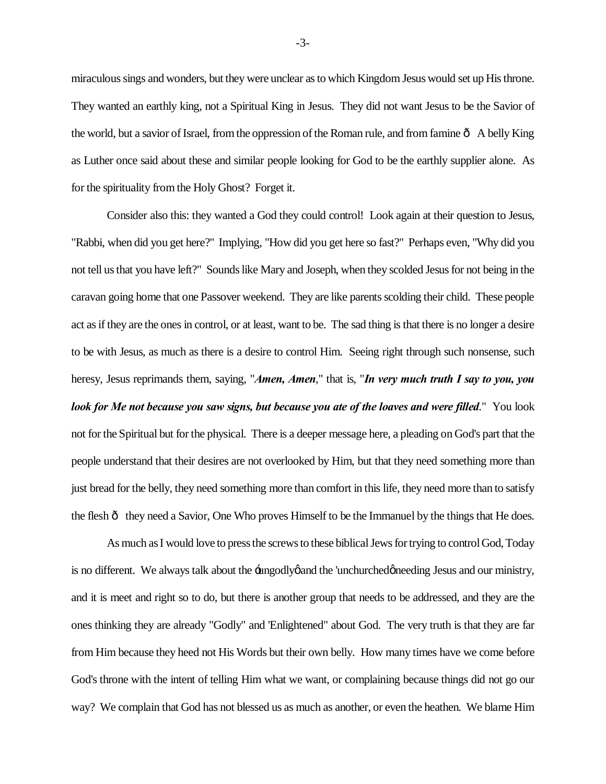miraculous sings and wonders, but they were unclear as to which Kingdom Jesus would set up His throne. They wanted an earthly king, not a Spiritual King in Jesus. They did not want Jesus to be the Savior of the world, but a savior of Israel, from the oppression of the Roman rule, and from famine  $\hat{o}$  A belly King as Luther once said about these and similar people looking for God to be the earthly supplier alone. As for the spirituality from the Holy Ghost? Forget it.

Consider also this: they wanted a God they could control! Look again at their question to Jesus, "Rabbi, when did you get here?" Implying, "How did you get here so fast?" Perhaps even, "Why did you not tell us that you have left?" Sounds like Mary and Joseph, when they scolded Jesus for not being in the caravan going home that one Passover weekend. They are like parents scolding their child. These people act as if they are the ones in control, or at least, want to be. The sad thing is that there is no longer a desire to be with Jesus, as much as there is a desire to control Him. Seeing right through such nonsense, such heresy, Jesus reprimands them, saying, "*Amen, Amen*," that is, "*In very much truth I say to you, you look for Me not because you saw signs, but because you ate of the loaves and were filled*." You look not for the Spiritual but for the physical. There is a deeper message here, a pleading on God's part that the people understand that their desires are not overlooked by Him, but that they need something more than just bread for the belly, they need something more than comfort in this life, they need more than to satisfy the flesh  $\hat{o}$  they need a Savior, One Who proves Himself to be the Immanuel by the things that He does.

As much as I would love to press the screws to these biblical Jews for trying to control God, Today is no different. We always talk about the  $\pm$ ungodlyg and the 'unchurched gneeding Jesus and our ministry, and it is meet and right so to do, but there is another group that needs to be addressed, and they are the ones thinking they are already "Godly" and 'Enlightened" about God. The very truth is that they are far from Him because they heed not His Words but their own belly. How many times have we come before God's throne with the intent of telling Him what we want, or complaining because things did not go our way? We complain that God has not blessed us as much as another, or even the heathen. We blame Him

-3-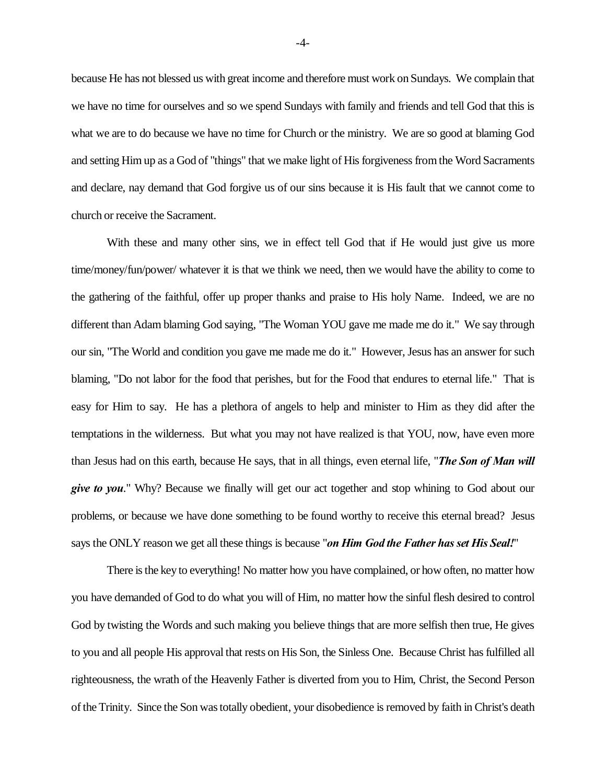because He has not blessed us with great income and therefore must work on Sundays. We complain that we have no time for ourselves and so we spend Sundays with family and friends and tell God that this is what we are to do because we have no time for Church or the ministry. We are so good at blaming God and setting Him up as a God of "things" that we make light of His forgiveness from the Word Sacraments and declare, nay demand that God forgive us of our sins because it is His fault that we cannot come to church or receive the Sacrament.

With these and many other sins, we in effect tell God that if He would just give us more time/money/fun/power/ whatever it is that we think we need, then we would have the ability to come to the gathering of the faithful, offer up proper thanks and praise to His holy Name. Indeed, we are no different than Adam blaming God saying, "The Woman YOU gave me made me do it." We say through our sin, "The World and condition you gave me made me do it." However, Jesus has an answer for such blaming, "Do not labor for the food that perishes, but for the Food that endures to eternal life." That is easy for Him to say. He has a plethora of angels to help and minister to Him as they did after the temptations in the wilderness. But what you may not have realized is that YOU, now, have even more than Jesus had on this earth, because He says, that in all things, even eternal life, "*The Son of Man will give to you*." Why? Because we finally will get our act together and stop whining to God about our problems, or because we have done something to be found worthy to receive this eternal bread? Jesus says the ONLY reason we get all these things is because "*on Him God the Father has set His Seal!*"

There is the key to everything! No matter how you have complained, or how often, no matter how you have demanded of God to do what you will of Him, no matter how the sinful flesh desired to control God by twisting the Words and such making you believe things that are more selfish then true, He gives to you and all people His approval that rests on His Son, the Sinless One. Because Christ has fulfilled all righteousness, the wrath of the Heavenly Father is diverted from you to Him, Christ, the Second Person of the Trinity. Since the Son was totally obedient, your disobedience is removed by faith in Christ's death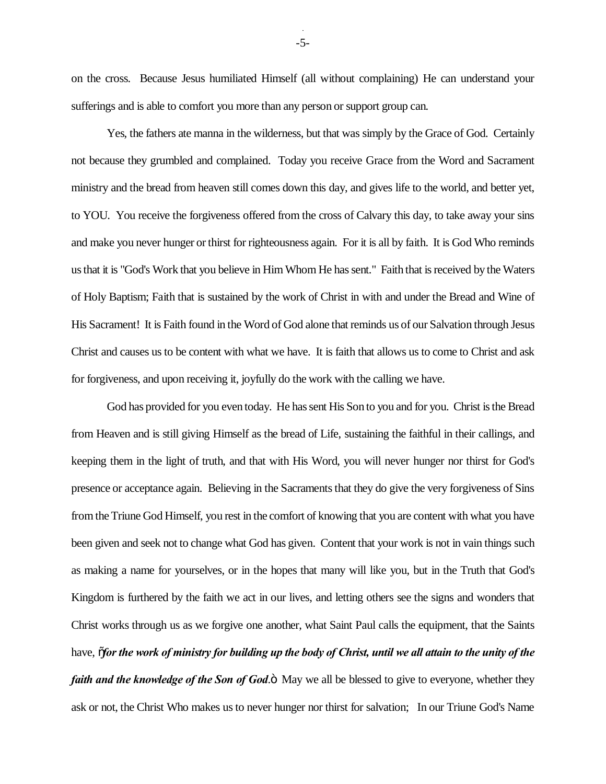on the cross. Because Jesus humiliated Himself (all without complaining) He can understand your sufferings and is able to comfort you more than any person or support group can.

Yes, the fathers ate manna in the wilderness, but that was simply by the Grace of God. Certainly not because they grumbled and complained. Today you receive Grace from the Word and Sacrament ministry and the bread from heaven still comes down this day, and gives life to the world, and better yet, to YOU. You receive the forgiveness offered from the cross of Calvary this day, to take away your sins and make you never hunger or thirst for righteousness again. For it is all by faith. It is God Who reminds us that it is "God's Work that you believe in Him Whom He has sent." Faith that is received by the Waters of Holy Baptism; Faith that is sustained by the work of Christ in with and under the Bread and Wine of His Sacrament! It is Faith found in the Word of God alone that reminds us of our Salvation through Jesus Christ and causes us to be content with what we have. It is faith that allows us to come to Christ and ask for forgiveness, and upon receiving it, joyfully do the work with the calling we have.

God has provided for you even today. He has sent His Son to you and for you. Christ is the Bread from Heaven and is still giving Himself as the bread of Life, sustaining the faithful in their callings, and keeping them in the light of truth, and that with His Word, you will never hunger nor thirst for God's presence or acceptance again. Believing in the Sacraments that they do give the very forgiveness of Sins from the Triune God Himself, you rest in the comfort of knowing that you are content with what you have been given and seek not to change what God has given. Content that your work is not in vain things such as making a name for yourselves, or in the hopes that many will like you, but in the Truth that God's Kingdom is furthered by the faith we act in our lives, and letting others see the signs and wonders that Christ works through us as we forgive one another, what Saint Paul calls the equipment, that the Saints have,  $\tilde{p}$  *for the work of ministry for building up the body of Christ, until we all attain to the unity of the faith and the knowledge of the Son of God.*" May we all be blessed to give to everyone, whether they ask or not, the Christ Who makes us to never hunger nor thirst for salvation; In our Triune God's Name